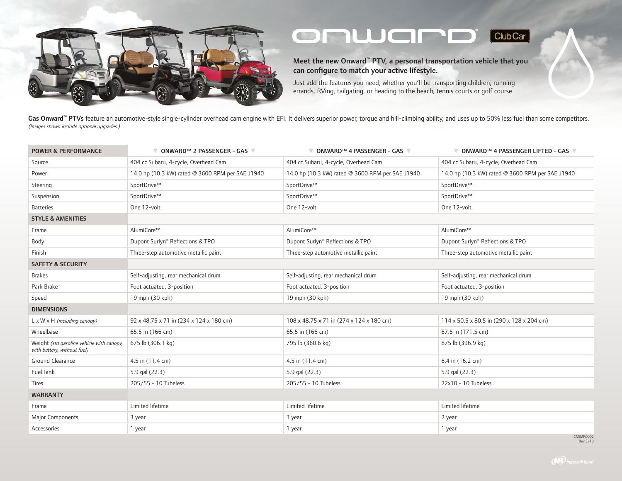

## onwarp  $\boxed{\text{ClubCar}}$

Meet the new Onward™ PTV, a personal transportation vehicle that you can configure to match your active lifestyle.

Just add the features you need, whether you'll be transporting children, running errands, RVing, tailgating, or heading to the beach, tennis courts or golf course.

Gas Onward<sup>™</sup> PTVs feature an automotive-style single-cylinder overhead cam engine with EFI. It delivers superior power, torque and hill-climbing ability, and uses up to 50% less fuel than some competitors. (Images shown include optional upgrades.)

| <b>POWER &amp; PERFORMANCE</b>                                           | $\nabla$ onward $\sim$ 2 passenger - GAS $\nabla$ | $\nabla$ ONWARD <sup>TM</sup> 4 PASSENGER - GAS $\nabla$ | $\nabla$ ONWARD <sup>TM</sup> 4 PASSENGER LIFTED - GAS $\nabla$ |
|--------------------------------------------------------------------------|---------------------------------------------------|----------------------------------------------------------|-----------------------------------------------------------------|
| Source                                                                   | 404 cc Subaru, 4-cycle, Overhead Cam              | 404 cc Subaru, 4-cycle, Overhead Cam                     | 404 cc Subaru, 4-cycle, Overhead Cam                            |
| Power                                                                    | 14.0 hp (10.3 kW) rated @ 3600 RPM per SAE J1940  | 14.0 hp (10.3 kW) rated @ 3600 RPM per SAE J1940         | 14.0 hp (10.3 kW) rated @ 3600 RPM per SAE J1940                |
| Steering                                                                 | SportDrive™                                       | SportDrive™                                              | SportDrive™                                                     |
| Suspension                                                               | SportDrive™                                       | SportDrive™                                              | SportDrive™                                                     |
| <b>Batteries</b>                                                         | One 12-volt                                       | One 12-volt                                              | One 12-volt                                                     |
| <b>STYLE &amp; AMENITIES</b>                                             |                                                   |                                                          |                                                                 |
| Frame                                                                    | AlumiCore™                                        | AlumiCore™                                               | AlumiCore™                                                      |
| Body                                                                     | Dupont Surlyn® Reflections & TPO                  | Dupont Surlyn® Reflections & TPO                         | Dupont Surlyn® Reflections & TPO                                |
| Finish                                                                   | Three-step automotive metallic paint              | Three-step automotive metallic paint                     | Three-step automotive metallic paint                            |
| <b>SAFETY &amp; SECURITY</b>                                             |                                                   |                                                          |                                                                 |
| <b>Brakes</b>                                                            | Self-adjusting, rear mechanical drum              | Self-adjusting, rear mechanical drum                     | Self-adjusting, rear mechanical drum                            |
| Park Brake                                                               | Foot actuated, 3-position                         | Foot actuated, 3-position                                | Foot actuated, 3-position                                       |
| Speed                                                                    | 19 mph (30 kph)                                   | 19 mph (30 kph)                                          | 19 mph (30 kph)                                                 |
| <b>DIMENSIONS</b>                                                        |                                                   |                                                          |                                                                 |
| L x W x H (including canopy)                                             | 92 x 48.75 x 71 in (234 x 124 x 180 cm)           | 108 x 48.75 x 71 in (274 x 124 x 180 cm)                 | $114 \times 50.5 \times 80.5$ in (290 x 128 x 204 cm)           |
| Wheelbase                                                                | 65.5 in (166 cm)                                  | 65.5 in (166 cm)                                         | 67.5 in (171.5 cm)                                              |
| Weight (std gasoline vehicle with canopy,<br>with battery, without fuel) | 675 lb (306.1 kg)                                 | 795 lb (360.6 kg)                                        | 875 lb (396.9 kg)                                               |
| Ground Clearance                                                         | 4.5 in (11.4 cm)                                  | 4.5 in (11.4 cm)                                         | 6.4 in (16.2 cm)                                                |
| Fuel Tank                                                                | 5.9 gal (22.3)                                    | 5.9 gal (22.3)                                           | 5.9 gal (22.3)                                                  |
| <b>Tires</b>                                                             | 205/55 - 10 Tubeless                              | 205/55 - 10 Tubeless                                     | $22x10 - 10$ Tubeless                                           |
| <b>WARRANTY</b>                                                          |                                                   |                                                          |                                                                 |
| Frame                                                                    | Limited lifetime                                  | Limited lifetime                                         | Limited lifetime                                                |
| <b>Major Components</b>                                                  | 3 year                                            | 3 year                                                   | 2 year                                                          |
| Accessories                                                              | 1 year                                            | 1 year                                                   | 1 year                                                          |

CNSMR0002 Rev 3/18